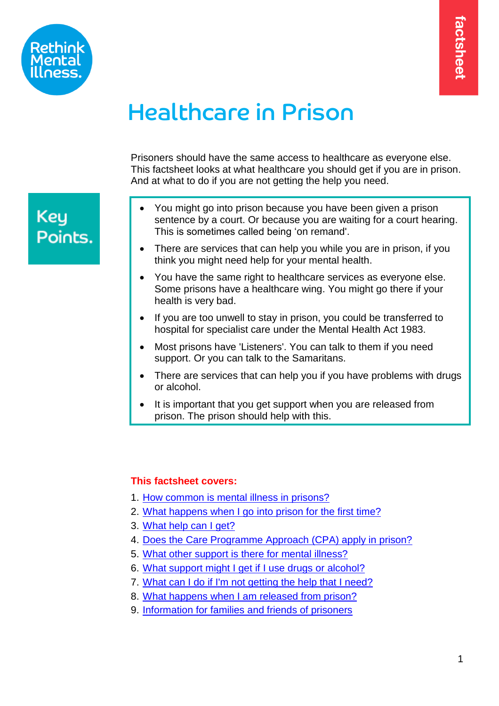

# Healthcare in Prison

Prisoners should have the same access to healthcare as everyone else. This factsheet looks at what healthcare you should get if you are in prison. And at what to do if you are not getting the help you need.

## **Key** Points.

- You might go into prison because you have been given a prison sentence by a court. Or because you are waiting for a court hearing. This is sometimes called being 'on remand'.
- There are services that can help you while you are in prison, if you think you might need help for your mental health.
- You have the same right to healthcare services as everyone else. Some prisons have a healthcare wing. You might go there if your health is very bad.
- If you are too unwell to stay in prison, you could be transferred to hospital for specialist care under the Mental Health Act 1983.
- Most prisons have 'Listeners'. You can talk to them if you need support. Or you can talk to the Samaritans.
- There are services that can help you if you have problems with drugs or alcohol.
- <span id="page-0-0"></span>It is important that you get support when you are released from prison. The prison should help with this.

#### **This factsheet covers:**

- 1. [How common is mental illness in prisons?](#page-1-0)
- 2. [What happens when I go into prison](#page-1-1) for the first time?
- 3. [What help can I get?](#page-3-0)
- 4. [Does the Care Programme Approach \(CPA\) apply in prison?](#page-5-0)
- 5. [What other support is there for mental illness?](#page-5-1)
- 6. What support might I get [if I use drugs](#page-6-0) or alcohol?
- 7. [What can I do if I'm not getting the help that I need?](#page-7-0)
- 8. [What happens when I am released from prison?](#page-8-0)
- 9. [Information for families and friends of prisoners](#page-10-0)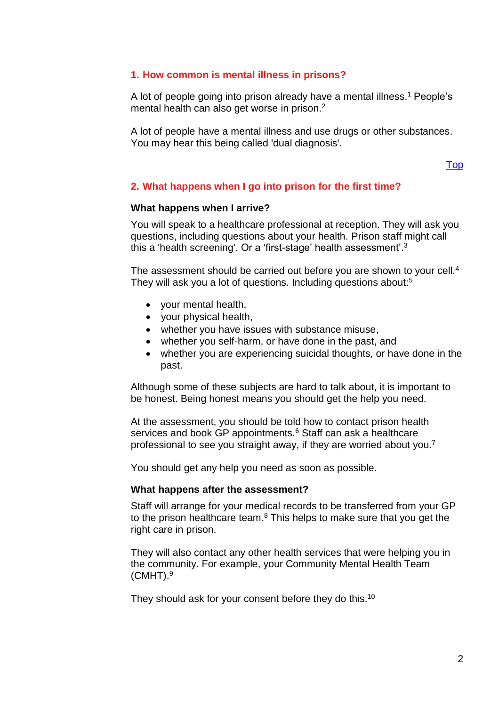#### <span id="page-1-0"></span>**1. How common is mental illness in prisons?**

A lot of people going into prison already have a mental illness. <sup>1</sup> People's mental health can also get worse in prison.<sup>2</sup>

A lot of people have a mental illness and use drugs or other substances. You may hear this being called 'dual diagnosis'.

[Top](#page-0-0)

#### <span id="page-1-1"></span>**2. What happens when I go into prison for the first time?**

#### **What happens when I arrive?**

You will speak to a healthcare professional at reception. They will ask you questions, including questions about your health. Prison staff might call this a 'health screening'. Or a 'first-stage' health assessment'. $^3$ 

The assessment should be carried out before you are shown to your cell.<sup>4</sup> They will ask you a lot of questions. Including questions about:<sup>5</sup>

- your mental health,
- your physical health,
- whether you have issues with substance misuse,
- whether you self-harm, or have done in the past, and
- whether you are experiencing suicidal thoughts, or have done in the past.

Although some of these subjects are hard to talk about, it is important to be honest. Being honest means you should get the help you need.

At the assessment, you should be told how to contact prison health services and book GP appointments.<sup>6</sup> Staff can ask a healthcare professional to see you straight away, if they are worried about you.<sup>7</sup>

You should get any help you need as soon as possible.

#### **What happens after the assessment?**

Staff will arrange for your medical records to be transferred from your GP to the prison healthcare team.<sup>8</sup> This helps to make sure that you get the right care in prison.

They will also contact any other health services that were helping you in the community. For example, your Community Mental Health Team  $(CMHT).<sup>9</sup>$ 

They should ask for your consent before they do this.<sup>10</sup>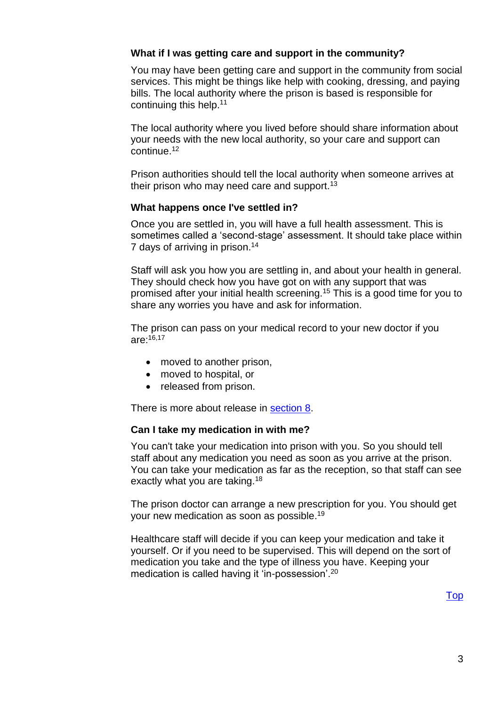#### **What if I was getting care and support in the community?**

You may have been getting care and support in the community from social services. This might be things like help with cooking, dressing, and paying bills. The local authority where the prison is based is responsible for continuing this help. 11

The local authority where you lived before should share information about your needs with the new local authority, so your care and support can continue.<sup>12</sup>

Prison authorities should tell the local authority when someone arrives at their prison who may need care and support.<sup>13</sup>

#### **What happens once I've settled in?**

Once you are settled in, you will have a full health assessment. This is sometimes called a 'second-stage' assessment. It should take place within 7 days of arriving in prison.<sup>14</sup>

Staff will ask you how you are settling in, and about your health in general. They should check how you have got on with any support that was promised after your initial health screening.<sup>15</sup> This is a good time for you to share any worries you have and ask for information.

The prison can pass on your medical record to your new doctor if you are: 16,17

- moved to another prison,
- moved to hospital, or
- released from prison.

There is more about release in [section 8.](#page-8-0)

#### **Can I take my medication in with me?**

You can't take your medication into prison with you. So you should tell staff about any medication you need as soon as you arrive at the prison. You can take your medication as far as the reception, so that staff can see exactly what you are taking.<sup>18</sup>

The prison doctor can arrange a new prescription for you. You should get your new medication as soon as possible. 19

Healthcare staff will decide if you can keep your medication and take it yourself. Or if you need to be supervised. This will depend on the sort of medication you take and the type of illness you have. Keeping your medication is called having it 'in-possession'.<sup>20</sup>

[Top](#page-0-0)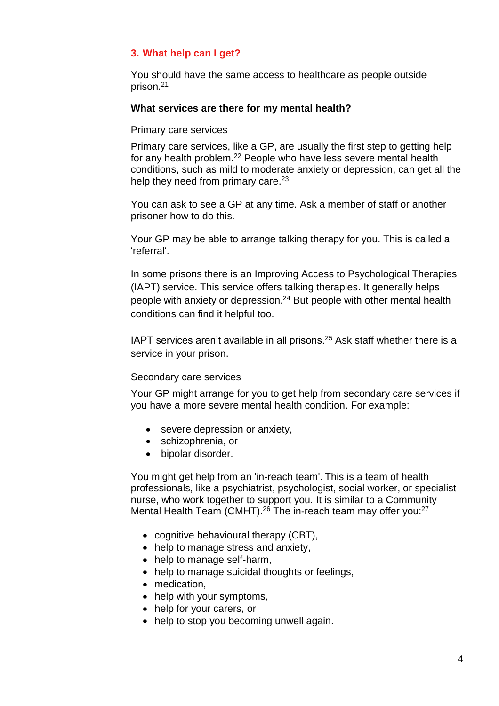#### <span id="page-3-0"></span>**3. What help can I get?**

You should have the same access to healthcare as people outside prison.<sup>21</sup>

#### **What services are there for my mental health?**

#### Primary care services

Primary care services, like a GP, are usually the first step to getting help for any health problem. <sup>22</sup> People who have less severe mental health conditions, such as mild to moderate anxiety or depression, can get all the help they need from primary care.<sup>23</sup>

You can ask to see a GP at any time. Ask a member of staff or another prisoner how to do this.

Your GP may be able to arrange talking therapy for you. This is called a 'referral'.

In some prisons there is an Improving Access to Psychological Therapies (IAPT) service. This service offers talking therapies. It generally helps people with anxiety or depression.<sup>24</sup> But people with other mental health conditions can find it helpful too.

IAPT services aren't available in all prisons.<sup>25</sup> Ask staff whether there is a service in your prison.

#### Secondary care services

Your GP might arrange for you to get help from secondary care services if you have a more severe mental health condition. For example:

- severe depression or anxiety,
- schizophrenia, or
- bipolar disorder.

You might get help from an 'in-reach team'. This is a team of health professionals, like a psychiatrist, psychologist, social worker, or specialist nurse, who work together to support you. It is similar to a Community Mental Health Team (CMHT).<sup>26</sup> The in-reach team may offer you:<sup>27</sup>

- cognitive behavioural therapy (CBT),
- help to manage stress and anxiety,
- help to manage self-harm,
- help to manage suicidal thoughts or feelings,
- medication,
- help with your symptoms,
- help for your carers, or
- help to stop you becoming unwell again.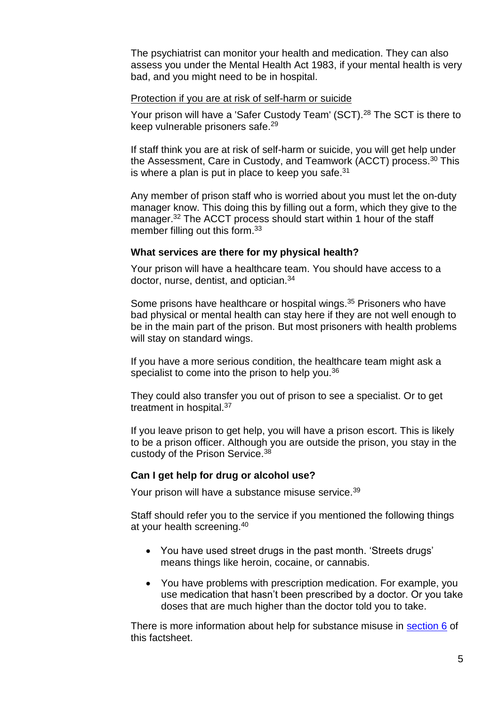The psychiatrist can monitor your health and medication. They can also assess you under the Mental Health Act 1983, if your mental health is very bad, and you might need to be in hospital.

#### Protection if you are at risk of self-harm or suicide

Your prison will have a 'Safer Custody Team' (SCT).<sup>28</sup> The SCT is there to keep vulnerable prisoners safe.<sup>29</sup>

If staff think you are at risk of self-harm or suicide, you will get help under the Assessment, Care in Custody, and Teamwork (ACCT) process.<sup>30</sup> This is where a plan is put in place to keep you safe. $^{31}$ 

Any member of prison staff who is worried about you must let the on-duty manager know. This doing this by filling out a form, which they give to the manager.<sup>32</sup> The ACCT process should start within 1 hour of the staff member filling out this form.<sup>33</sup>

#### **What services are there for my physical health?**

Your prison will have a healthcare team. You should have access to a doctor, nurse, dentist, and optician.<sup>34</sup>

Some prisons have healthcare or hospital wings.<sup>35</sup> Prisoners who have bad physical or mental health can stay here if they are not well enough to be in the main part of the prison. But most prisoners with health problems will stay on standard wings.

If you have a more serious condition, the healthcare team might ask a specialist to come into the prison to help you.<sup>36</sup>

They could also transfer you out of prison to see a specialist. Or to get treatment in hospital.<sup>37</sup>

If you leave prison to get help, you will have a prison escort. This is likely to be a prison officer. Although you are outside the prison, you stay in the custody of the Prison Service.<sup>38</sup>

#### **Can I get help for drug or alcohol use?**

Your prison will have a substance misuse service.<sup>39</sup>

Staff should refer you to the service if you mentioned the following things at your health screening. 40

- You have used street drugs in the past month. 'Streets drugs' means things like heroin, cocaine, or cannabis.
- You have problems with prescription medication. For example, you use medication that hasn't been prescribed by a doctor. Or you take doses that are much higher than the doctor told you to take.

There is more information about help for substance misuse in [section 6](#page-6-1) of this factsheet.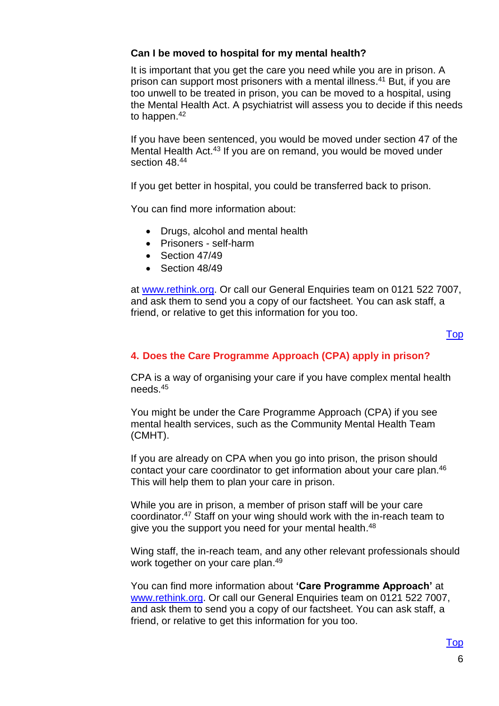#### **Can I be moved to hospital for my mental health?**

It is important that you get the care you need while you are in prison. A prison can support most prisoners with a mental illness. <sup>41</sup> But, if you are too unwell to be treated in prison, you can be moved to a hospital, using the Mental Health Act. A psychiatrist will assess you to decide if this needs to happen. 42

If you have been sentenced, you would be moved under section 47 of the Mental Health Act.<sup>43</sup> If you are on remand, you would be moved under section 48.<sup>44</sup>

If you get better in hospital, you could be transferred back to prison.

You can find more information about:

- Drugs, alcohol and mental health
- Prisoners self-harm
- Section 47/49
- Section 48/49

at [www.rethink.org.](http://www.rethink.org/) Or call our General Enquiries team on 0121 522 7007, and ask them to send you a copy of our factsheet. You can ask staff, a friend, or relative to get this information for you too.

#### [Top](#page-0-0)

#### <span id="page-5-0"></span>**4. Does the Care Programme Approach (CPA) apply in prison?**

CPA is a way of organising your care if you have complex mental health needs.<sup>45</sup>

You might be under the Care Programme Approach (CPA) if you see mental health services, such as the Community Mental Health Team (CMHT).

If you are already on CPA when you go into prison, the prison should contact your care coordinator to get information about your care plan.<sup>46</sup> This will help them to plan your care in prison.

While you are in prison, a member of prison staff will be your care coordinator.<sup>47</sup> Staff on your wing should work with the in-reach team to give you the support you need for your mental health.<sup>48</sup>

Wing staff, the in-reach team, and any other relevant professionals should work together on your care plan. 49

<span id="page-5-1"></span>You can find more information about **'Care Programme Approach'** at [www.rethink.org.](http://www.rethink.org/) Or call our General Enquiries team on 0121 522 7007, and ask them to send you a copy of our factsheet. You can ask staff, a friend, or relative to get this information for you too.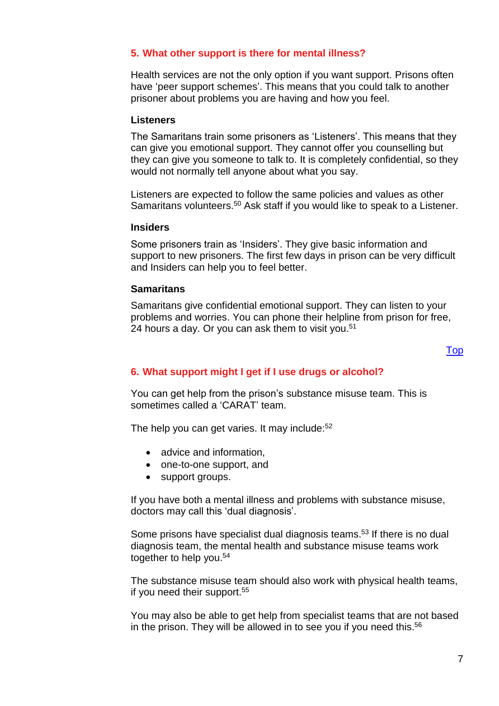#### **5. What other support is there for mental illness?**

Health services are not the only option if you want support. Prisons often have 'peer support schemes'. This means that you could talk to another prisoner about problems you are having and how you feel.

#### **Listeners**

The Samaritans train some prisoners as 'Listeners'. This means that they can give you emotional support. They cannot offer you counselling but they can give you someone to talk to. It is completely confidential, so they would not normally tell anyone about what you say.

Listeners are expected to follow the same policies and values as other Samaritans volunteers.<sup>50</sup> Ask staff if you would like to speak to a Listener.

#### **Insiders**

Some prisoners train as 'Insiders'. They give basic information and support to new prisoners. The first few days in prison can be very difficult and Insiders can help you to feel better.

#### **Samaritans**

Samaritans give confidential emotional support. They can listen to your problems and worries. You can phone their helpline from prison for free, 24 hours a day. Or you can ask them to visit you. 51

#### [Top](#page-0-0)

#### <span id="page-6-1"></span><span id="page-6-0"></span>**6. What support might I get if I use drugs or alcohol?**

You can get help from the prison's substance misuse team. This is sometimes called a 'CARAT' team.

The help you can get varies. It may include:<sup>52</sup>

- advice and information,
- one-to-one support, and
- support groups.

If you have both a mental illness and problems with substance misuse, doctors may call this 'dual diagnosis'.

Some prisons have specialist dual diagnosis teams.<sup>53</sup> If there is no dual diagnosis team, the mental health and substance misuse teams work together to help you.<sup>54</sup>

The substance misuse team should also work with physical health teams, if you need their support.<sup>55</sup>

You may also be able to get help from specialist teams that are not based in the prison. They will be allowed in to see you if you need this. 56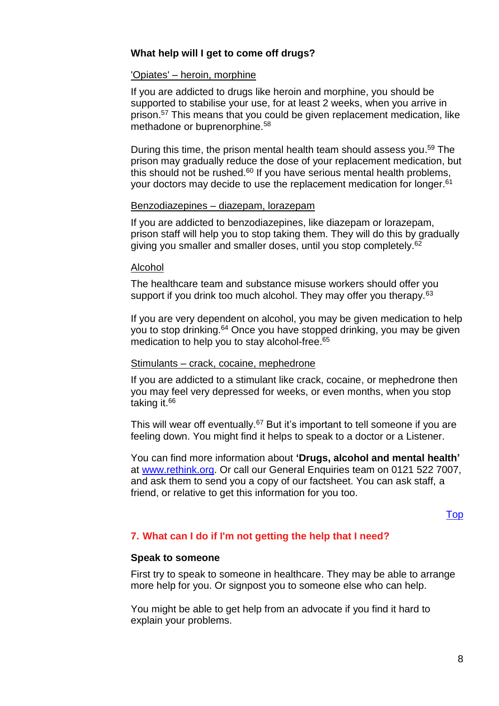#### **What help will I get to come off drugs?**

#### 'Opiates' – heroin, morphine

If you are addicted to drugs like heroin and morphine, you should be supported to stabilise your use, for at least 2 weeks, when you arrive in prison. <sup>57</sup> This means that you could be given replacement medication, like methadone or buprenorphine.<sup>58</sup>

During this time, the prison mental health team should assess you. <sup>59</sup> The prison may gradually reduce the dose of your replacement medication, but this should not be rushed. $60$  If you have serious mental health problems, your doctors may decide to use the replacement medication for longer. 61

#### Benzodiazepines – diazepam, lorazepam

If you are addicted to benzodiazepines, like diazepam or lorazepam, prison staff will help you to stop taking them. They will do this by gradually giving you smaller and smaller doses, until you stop completely.<sup>62</sup>

#### Alcohol

The healthcare team and substance misuse workers should offer you support if you drink too much alcohol. They may offer you therapy.<sup>63</sup>

If you are very dependent on alcohol, you may be given medication to help you to stop drinking.<sup>64</sup> Once you have stopped drinking, you may be given medication to help you to stay alcohol-free.<sup>65</sup>

#### Stimulants - crack, cocaine, mephedrone

If you are addicted to a stimulant like crack, cocaine, or mephedrone then you may feel very depressed for weeks, or even months, when you stop taking it.<sup>66</sup>

This will wear off eventually.<sup>67</sup> But it's important to tell someone if you are feeling down. You might find it helps to speak to a doctor or a Listener.

You can find more information about **'Drugs, alcohol and mental health'** at [www.rethink.org.](http://www.rethink.org/) Or call our General Enquiries team on 0121 522 7007, and ask them to send you a copy of our factsheet. You can ask staff, a friend, or relative to get this information for you too.

[Top](#page-0-0)

#### <span id="page-7-0"></span>**7. What can I do if I'm not getting the help that I need?**

#### **Speak to someone**

First try to speak to someone in healthcare. They may be able to arrange more help for you. Or signpost you to someone else who can help.

You might be able to get help from an advocate if you find it hard to explain your problems.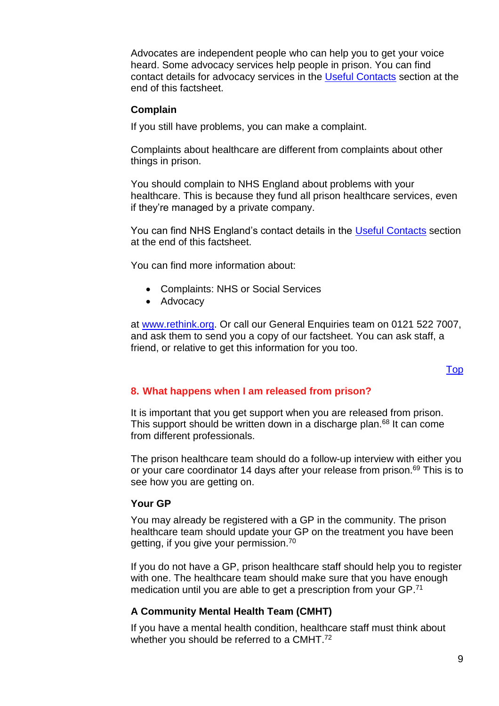Advocates are independent people who can help you to get your voice heard. Some advocacy services help people in prison. You can find contact details for advocacy services in the [Useful Contacts](#page-12-0) section at the end of this factsheet.

#### **Complain**

If you still have problems, you can make a complaint.

Complaints about healthcare are different from complaints about other things in prison.

You should complain to NHS England about problems with your healthcare. This is because they fund all prison healthcare services, even if they're managed by a private company.

You can find NHS England's contact details in the [Useful Contacts](#page-12-0) section at the end of this factsheet.

You can find more information about:

- Complaints: NHS or Social Services
- Advocacy

at [www.rethink.org.](http://www.rethink.org/) Or call our General Enquiries team on 0121 522 7007, and ask them to send you a copy of our factsheet. You can ask staff, a friend, or relative to get this information for you too.

#### [Top](#page-0-0)

#### <span id="page-8-0"></span>**8. What happens when I am released from prison?**

It is important that you get support when you are released from prison. This support should be written down in a discharge plan.<sup>68</sup> It can come from different professionals.

The prison healthcare team should do a follow-up interview with either you or your care coordinator 14 days after your release from prison.<sup>69</sup> This is to see how you are getting on.

#### **Your GP**

You may already be registered with a GP in the community. The prison healthcare team should update your GP on the treatment you have been getting, if you give your permission.<sup>70</sup>

If you do not have a GP, prison healthcare staff should help you to register with one. The healthcare team should make sure that you have enough medication until you are able to get a prescription from your GP.<sup>71</sup>

#### **A Community Mental Health Team (CMHT)**

If you have a mental health condition, healthcare staff must think about whether you should be referred to a CMHT.<sup>72</sup>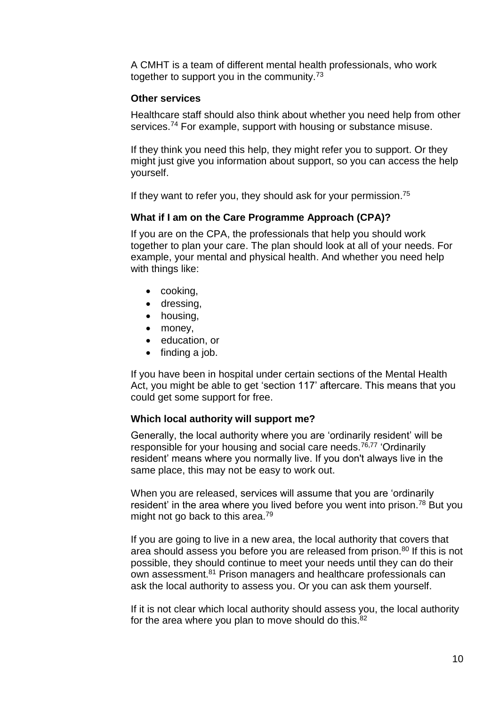A CMHT is a team of different mental health professionals, who work together to support you in the community.<sup>73</sup>

#### **Other services**

Healthcare staff should also think about whether you need help from other services. <sup>74</sup> For example, support with housing or substance misuse.

If they think you need this help, they might refer you to support. Or they might just give you information about support, so you can access the help yourself.

If they want to refer you, they should ask for your permission. 75

#### **What if I am on the Care Programme Approach (CPA)?**

If you are on the CPA, the professionals that help you should work together to plan your care. The plan should look at all of your needs. For example, your mental and physical health. And whether you need help with things like:

- cooking,
- dressing,
- housing,
- money,
- education, or
- finding a job.

If you have been in hospital under certain sections of the Mental Health Act, you might be able to get 'section 117' aftercare. This means that you could get some support for free.

#### **Which local authority will support me?**

Generally, the local authority where you are 'ordinarily resident' will be responsible for your housing and social care needs.<sup>76,77</sup> 'Ordinarily resident' means where you normally live. If you don't always live in the same place, this may not be easy to work out.

When you are released, services will assume that you are 'ordinarily resident' in the area where you lived before you went into prison.<sup>78</sup> But you might not go back to this area.<sup>79</sup>

If you are going to live in a new area, the local authority that covers that area should assess you before you are released from prison.<sup>80</sup> If this is not possible, they should continue to meet your needs until they can do their own assessment.<sup>81</sup> Prison managers and healthcare professionals can ask the local authority to assess you. Or you can ask them yourself.

If it is not clear which local authority should assess you, the local authority for the area where you plan to move should do this.<sup>82</sup>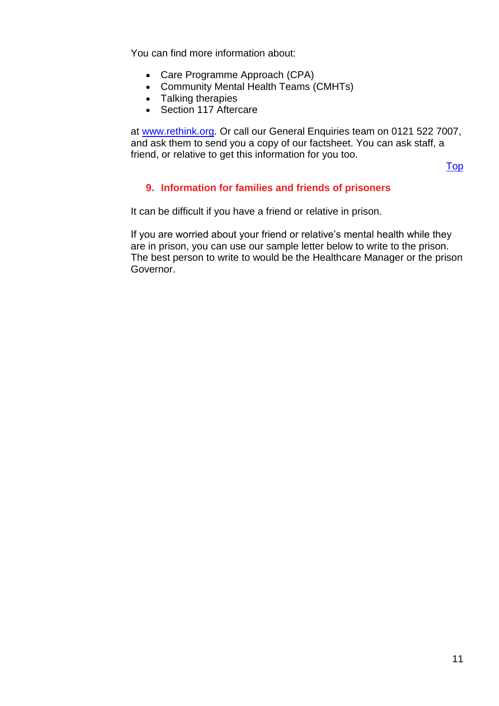You can find more information about:

- Care Programme Approach (CPA)
- Community Mental Health Teams (CMHTs)
- Talking therapies
- Section 117 Aftercare

at [www.rethink.org.](http://www.rethink.org/) Or call our General Enquiries team on 0121 522 7007, and ask them to send you a copy of our factsheet. You can ask staff, a friend, or relative to get this information for you too.

[Top](#page-0-0)

#### <span id="page-10-0"></span>**9. Information for families and friends of prisoners**

It can be difficult if you have a friend or relative in prison.

If you are worried about your friend or relative's mental health while they are in prison, you can use our sample letter below to write to the prison. The best person to write to would be the Healthcare Manager or the prison Governor.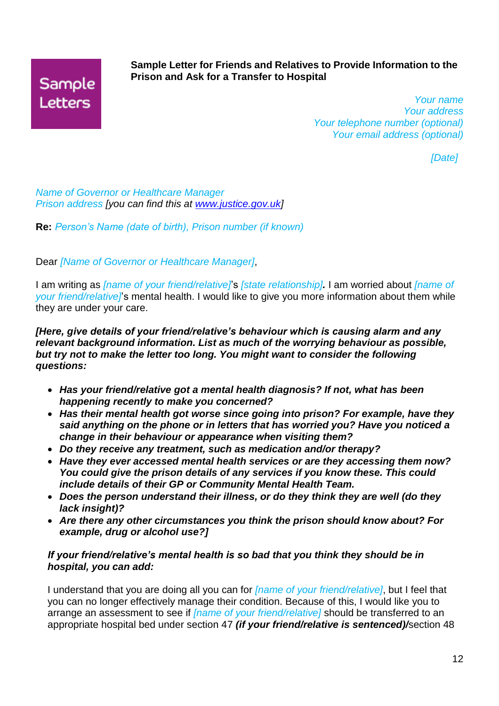## Sample **Letters**

#### **Sample Letter for Friends and Relatives to Provide Information to the Prison and Ask for a Transfer to Hospital**

*Your name Your address Your telephone number (optional) Your email address (optional)*

*[Date]*

*Name of Governor or Healthcare Manager Prison address [you can find this at [www.justice.gov.uk\]](http://www.justice.gov.uk/)*

**Re:** *Person's Name (date of birth), Prison number (if known)*

Dear *[Name of Governor or Healthcare Manager]*,

I am writing as *[name of your friend/relative]*'s *[state relationship].* I am worried about *[name of your friend/relative]*'s mental health. I would like to give you more information about them while they are under your care.

*[Here, give details of your friend/relative's behaviour which is causing alarm and any relevant background information. List as much of the worrying behaviour as possible, but try not to make the letter too long. You might want to consider the following questions:*

- *Has your friend/relative got a mental health diagnosis? If not, what has been happening recently to make you concerned?*
- *Has their mental health got worse since going into prison? For example, have they said anything on the phone or in letters that has worried you? Have you noticed a change in their behaviour or appearance when visiting them?*
- *Do they receive any treatment, such as medication and/or therapy?*
- *Have they ever accessed mental health services or are they accessing them now? You could give the prison details of any services if you know these. This could include details of their GP or Community Mental Health Team.*
- *Does the person understand their illness, or do they think they are well (do they lack insight)?*
- *Are there any other circumstances you think the prison should know about? For example, drug or alcohol use?]*

#### *If your friend/relative's mental health is so bad that you think they should be in hospital, you can add:*

I understand that you are doing all you can for *[name of your friend/relative]*, but I feel that you can no longer effectively manage their condition. Because of this, I would like you to arrange an assessment to see if *[name of your friend/relative]* should be transferred to an appropriate hospital bed under section 47 *(if your friend/relative is sentenced)/*section 48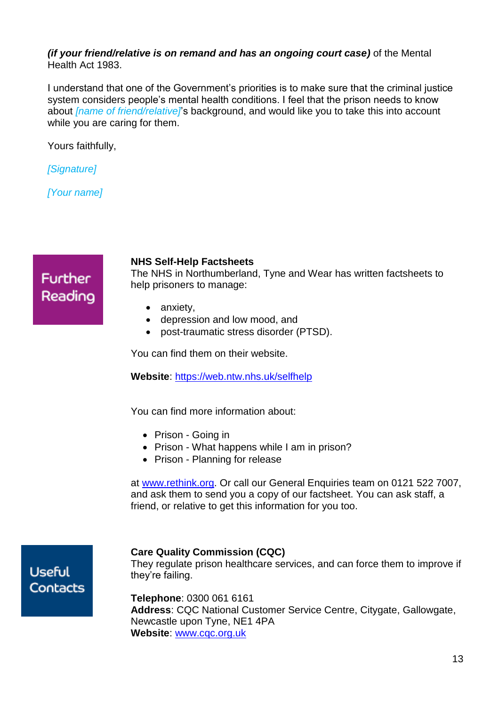#### *(if your friend/relative is on remand and has an ongoing court case)* of the Mental Health Act 1983.

I understand that one of the Government's priorities is to make sure that the criminal justice system considers people's mental health conditions. I feel that the prison needs to know about *[name of friend/relative]*'s background, and would like you to take this into account while you are caring for them.

Yours faithfully,

*[Signature]*

*[Your name]*

## **Further** Reading

#### **NHS Self-Help Factsheets**

The NHS in Northumberland, Tyne and Wear has written factsheets to help prisoners to manage:

- anxiety,
- depression and low mood, and
- post-traumatic stress disorder (PTSD).

You can find them on their website.

**Website**:<https://web.ntw.nhs.uk/selfhelp>

You can find more information about:

- Prison Going in
- Prison What happens while I am in prison?
- Prison Planning for release

at [www.rethink.org.](http://www.rethink.org/) Or call our General Enquiries team on 0121 522 7007, and ask them to send you a copy of our factsheet. You can ask staff, a friend, or relative to get this information for you too.

### **Useful Contacts**

#### **Care Quality Commission (CQC)**

<span id="page-12-0"></span>They regulate prison healthcare services, and can force them to improve if they're failing.

**Telephone**: 0300 061 6161 **Address**: CQC National Customer Service Centre, Citygate, Gallowgate, Newcastle upon Tyne, NE1 4PA **Website**: [www.cqc.org.uk](http://www.cqc.org.uk/)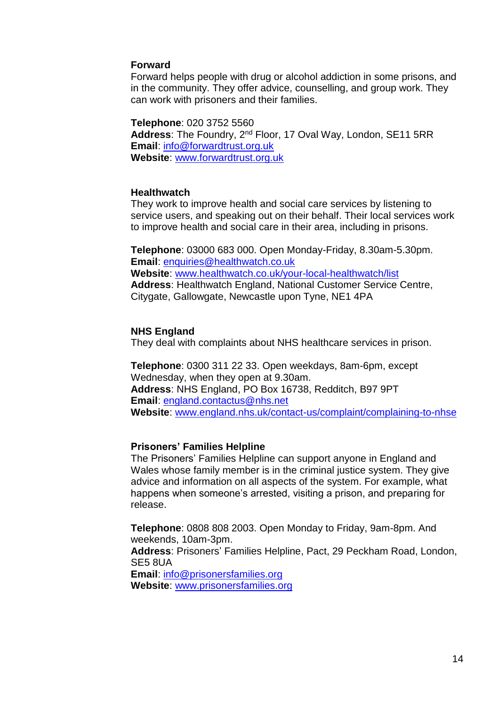#### **Forward**

Forward helps people with drug or alcohol addiction in some prisons, and in the community. They offer advice, counselling, and group work. They can work with prisoners and their families.

#### **Telephone**: 020 3752 5560

**Address**: The Foundry, 2nd Floor, 17 Oval Way, London, SE11 5RR **Email**: [info@forwardtrust.org.uk](mailto:info@forwardtrust.org.uk) **Website**: [www.forwardtrust.org.uk](http://www.forwardtrust.org.uk/)

#### **Healthwatch**

They work to improve health and social care services by listening to service users, and speaking out on their behalf. Their local services work to improve health and social care in their area, including in prisons.

**Telephone**: 03000 683 000. Open Monday-Friday, 8.30am-5.30pm. **Email**: [enquiries@healthwatch.co.uk](mailto:enquiries@healthwatch.co.uk) **Website**: [www.healthwatch.co.uk/your-local-healthwatch/list](http://www.healthwatch.co.uk/your-local-healthwatch/list) **Address**: Healthwatch England, National Customer Service Centre, Citygate, Gallowgate, Newcastle upon Tyne, NE1 4PA

#### **NHS England**

They deal with complaints about NHS healthcare services in prison.

**Telephone**: 0300 311 22 33. Open weekdays, 8am-6pm, except Wednesday, when they open at 9.30am. **Address**: NHS England, PO Box 16738, Redditch, B97 9PT **Email**: [england.contactus@nhs.net](mailto:england.contactus@nhs.net) **Website**: [www.england.nhs.uk/contact-us/complaint/complaining-to-nhse](http://www.england.nhs.uk/contact-us/complaint/complaining-to-nhse)

#### **Prisoners' Families Helpline**

The Prisoners' Families Helpline can support anyone in England and Wales whose family member is in the criminal justice system. They give advice and information on all aspects of the system. For example, what happens when someone's arrested, visiting a prison, and preparing for release.

**Telephone**: 0808 808 2003. Open Monday to Friday, 9am-8pm. And weekends, 10am-3pm.

**Address**: Prisoners' Families Helpline, Pact, 29 Peckham Road, London, SE5 8UA

**Email**: [info@prisonersfamilies.org](mailto:info@prisonersfamilies.org) **Website**: [www.prisonersfamilies.org](http://www.prisonersfamilies.org/)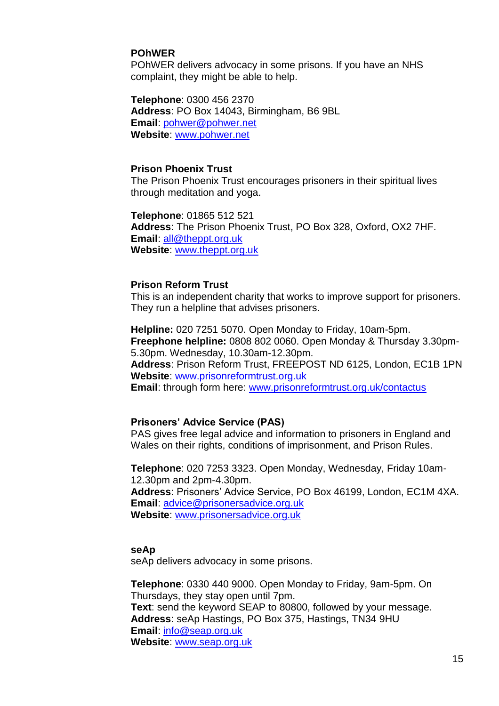#### **POhWER**

POhWER delivers advocacy in some prisons. If you have an NHS complaint, they might be able to help.

**Telephone**: 0300 456 2370 **Address**: PO Box 14043, Birmingham, B6 9BL **Email**: [pohwer@pohwer.net](mailto:pohwericas@pohwericas.net) **Website**: [www.pohwer.net](http://www.pohwer.net/)

#### **Prison Phoenix Trust**

The Prison Phoenix Trust encourages prisoners in their spiritual lives through meditation and yoga.

**Telephone**: 01865 512 521 **Address**: The Prison Phoenix Trust, PO Box 328, Oxford, OX2 7HF. **Email**: [all@theppt.org.uk](mailto:all@theppt.org.uk) **Website**: [www.theppt.org.uk](http://www.theppt.org.uk/)

#### **Prison Reform Trust**

This is an independent charity that works to improve support for prisoners. They run a helpline that advises prisoners.

**Helpline:** 020 7251 5070. Open Monday to Friday, 10am-5pm. **Freephone helpline:** 0808 802 0060. Open Monday & Thursday 3.30pm-5.30pm. Wednesday, 10.30am-12.30pm. **Address**: Prison Reform Trust, FREEPOST ND 6125, London, EC1B 1PN **Website**: [www.prisonreformtrust.org.uk](http://www.prisonreformtrust.org.uk/) **Email**: through form here: [www.prisonreformtrust.org.uk/contactus](http://www.prisonreformtrust.org.uk/contactus)

#### **Prisoners' Advice Service (PAS)**

PAS gives free legal advice and information to prisoners in England and Wales on their rights, conditions of imprisonment, and Prison Rules.

**Telephone**: 020 7253 3323. Open Monday, Wednesday, Friday 10am-12.30pm and 2pm-4.30pm. **Address**: Prisoners' Advice Service, PO Box 46199, London, EC1M 4XA. **Email**: [advice@prisonersadvice.org.uk](mailto:advice@prisonersadvice.org.uk) **Website**: [www.prisonersadvice.org.uk](http://www.prisonersadvice.org.uk/)

#### **seAp**

seAp delivers advocacy in some prisons.

**Telephone**: 0330 440 9000. Open Monday to Friday, 9am-5pm. On Thursdays, they stay open until 7pm. **Text**: send the keyword SEAP to 80800, followed by your message. **Address**: seAp Hastings, PO Box 375, Hastings, TN34 9HU **Email**: [info@seap.org.uk](mailto:info@seap.org.uk) **Website**: [www.seap.org.uk](http://www.seap.org.uk/)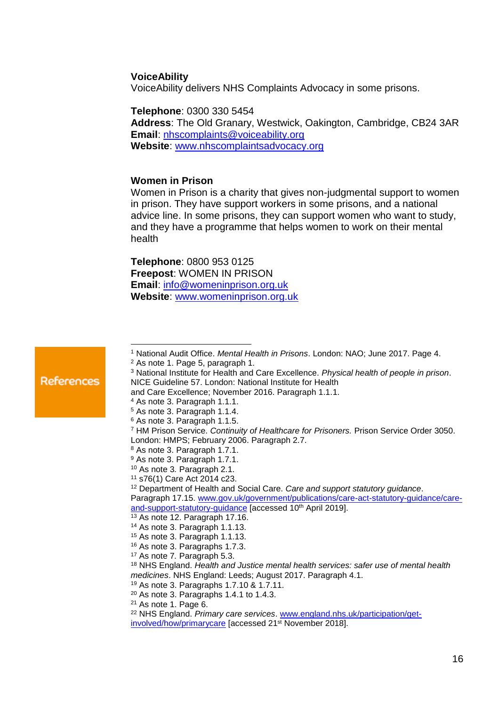#### **VoiceAbility**

VoiceAbility delivers NHS Complaints Advocacy in some prisons.

**Telephone**: 0300 330 5454

**Address**: The Old Granary, Westwick, Oakington, Cambridge, CB24 3AR **Email**: [nhscomplaints@voiceability.org](mailto:nhscomplaints@voiceability.org) **Website**: [www.nhscomplaintsadvocacy.org](http://www.nhscomplaintsadvocacy.org/)

#### **Women in Prison**

Women in Prison is a charity that gives non-judgmental support to women in prison. They have support workers in some prisons, and a national advice line. In some prisons, they can support women who want to study, and they have a programme that helps women to work on their mental health

**Telephone**: 0800 953 0125 **Freepost**: WOMEN IN PRISON **Email**: [info@womeninprison.org.uk](mailto:info@womeninprison.org.uk) **Website**: [www.womeninprison.org.uk](http://www.womeninprison.org.uk/)

<sup>1</sup> National Audit Office. *Mental Health in Prisons*. London: NAO; June 2017. Page 4.  $\overline{a}$ 

<sup>2</sup> As note 1. Page 5, paragraph 1.

References

<sup>3</sup> National Institute for Health and Care Excellence. *Physical health of people in prison*. NICE Guideline 57. London: National Institute for Health

- and Care Excellence; November 2016. Paragraph 1.1.1.
- <sup>4</sup> As note 3. Paragraph 1.1.1.
- <sup>5</sup> As note 3. Paragraph 1.1.4. <sup>6</sup> As note 3. Paragraph 1.1.5.
- 
- <sup>7</sup> HM Prison Service. *Continuity of Healthcare for Prisoners.* Prison Service Order 3050. London: HMPS; February 2006. Paragraph 2.7.
- <sup>8</sup> As note 3. Paragraph 1.7.1.
- <sup>9</sup> As note 3. Paragraph 1.7.1.
- <sup>10</sup> As note 3*.* Paragraph 2.1.
- <sup>11</sup> s76(1) Care Act 2014 c23.

<sup>12</sup> Department of Health and Social Care. *Care and support statutory guidance*. Paragraph 17.15. [www.gov.uk/government/publications/care-act-statutory-guidance/care-](http://www.gov.uk/government/publications/care-act-statutory-guidance/care-and-support-statutory-guidance)

- [and-support-statutory-guidance](http://www.gov.uk/government/publications/care-act-statutory-guidance/care-and-support-statutory-guidance) [accessed 10<sup>th</sup> April 2019].
- <sup>13</sup> As note 12. Paragraph 17.16.
- <sup>14</sup> As note 3. Paragraph 1.1.13.
- <sup>15</sup> As note 3. Paragraph 1.1.13.
- <sup>16</sup> As note 3. Paragraphs 1.7.3.
- <sup>17</sup> As note 7*.* Paragraph 5.3.

- <sup>19</sup> As note 3. Paragraphs 1.7.10 & 1.7.11.
- $20$  As note 3. Paragraphs 1.4.1 to 1.4.3.
- <sup>21</sup> As note 1. Page 6.

<sup>18</sup> NHS England. *Health and Justice mental health services: safer use of mental health medicines*. NHS England: Leeds; August 2017. Paragraph 4.1.

<sup>22</sup> NHS England. *Primary care services*. [www.england.nhs.uk/participation/get](http://www.england.nhs.uk/participation/get-involved/how/primarycare)[involved/how/primarycare](http://www.england.nhs.uk/participation/get-involved/how/primarycare) [accessed 21st November 2018].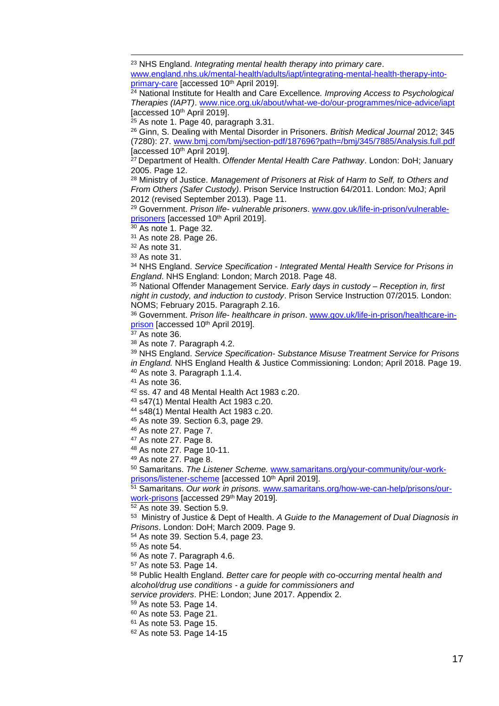NHS England. *Integrating mental health therapy into primary care*. [www.england.nhs.uk/mental-health/adults/iapt/integrating-mental-health-therapy-into](http://www.england.nhs.uk/mental-health/adults/iapt/integrating-mental-health-therapy-into-primary-care)[primary-care](http://www.england.nhs.uk/mental-health/adults/iapt/integrating-mental-health-therapy-into-primary-care) [accessed 10<sup>th</sup> April 2019].

 National Institute for Health and Care Excellence*. Improving Access to Psychological Therapies (IAPT)*. [www.nice.org.uk/about/what-we-do/our-programmes/nice-advice/iapt](http://www.nice.org.uk/about/what-we-do/our-programmes/nice-advice/iapt) [accessed 10 th April 2019].

As note 1. Page 40, paragraph 3.31.

 Ginn, S. Dealing with Mental Disorder in Prisoners. *British Medical Journal* 2012; 345 (7280): 27. [www.bmj.com/bmj/section-pdf/187696?path=/bmj/345/7885/Analysis.full.pdf](http://www.bmj.com/bmj/section-pdf/187696?path=/bmj/345/7885/Analysis.full.pdf) [accessed 10th April 2019].

 Department of Health. *Offender Mental Health Care Pathway*. London: DoH; January 2005. Page 12.

 Ministry of Justice. *Management of Prisoners at Risk of Harm to Self, to Others and From Others (Safer Custody)*. Prison Service Instruction 64/2011. London: MoJ; April 2012 (revised September 2013). Page 11.

 Government. *Prison life- vulnerable prisoners*. [www.gov.uk/life-in-prison/vulnerable](http://www.gov.uk/life-in-prison/vulnerable-prisoners)[prisoners](http://www.gov.uk/life-in-prison/vulnerable-prisoners) [accessed 10<sup>th</sup> April 2019].

As note 1. Page 32.

As note 28. Page 26.

As note 31.

 $\overline{a}$ 

As note 31.

 NHS England. *Service Specification - Integrated Mental Health Service for Prisons in England*. NHS England: London; March 2018. Page 48.

 National Offender Management Service. *Early days in custody – Reception in, first night in custody, and induction to custody*. Prison Service Instruction 07/2015. London: NOMS; February 2015. Paragraph 2.16.

 Government. *Prison life- healthcare in prison*. [www.gov.uk/life-in-prison/healthcare-in](http://www.gov.uk/life-in-prison/healthcare-in-prison)[prison](http://www.gov.uk/life-in-prison/healthcare-in-prison) [accessed 10<sup>th</sup> April 2019].

As note 36.

As note 7*.* Paragraph 4.2.

NHS England. *Service Specification- Substance Misuse Treatment Service for Prisons* 

*in England.* NHS England Health & Justice Commissioning: London; April 2018. Page 19.

As note 3. Paragraph 1.1.4.

As note 36.

ss. 47 and 48 Mental Health Act 1983 c.20.

s47(1) Mental Health Act 1983 c.20.

s48(1) Mental Health Act 1983 c.20.

As note 39. Section 6.3, page 29.

As note 27. Page 7.

As note 27. Page 8.

As note 27. Page 10-11.

As note 27. Page 8.

 Samaritans. *The Listener Scheme.* [www.samaritans.org/your-community/our-work](http://www.samaritans.org/your-community/our-work-prisons/listener-scheme)[prisons/listener-scheme](http://www.samaritans.org/your-community/our-work-prisons/listener-scheme) [accessed 10<sup>th</sup> April 2019].

 Samaritans. *Our work in prisons.* [www.samaritans.org/how-we-can-help/prisons/our](http://www.samaritans.org/how-we-can-help/prisons/our-work-prisons)[work-prisons](http://www.samaritans.org/how-we-can-help/prisons/our-work-prisons) [accessed 29<sup>th</sup> May 2019].

As note 39. Section 5.9.

 Ministry of Justice & Dept of Health. *A Guide to the Management of Dual Diagnosis in Prisons*. London: DoH; March 2009. Page 9.

As note 39. Section 5.4, page 23.

As note 54.

As note 7. Paragraph 4.6.

As note 53. Page 14.

 Public Health England. *Better care for people with co-occurring mental health and alcohol/drug use conditions - a guide for commissioners and service providers*. PHE: London; June 2017. Appendix 2.

As note 53. Page 14.

As note 53. Page 21.

As note 53. Page 15.

As note 53. Page 14-15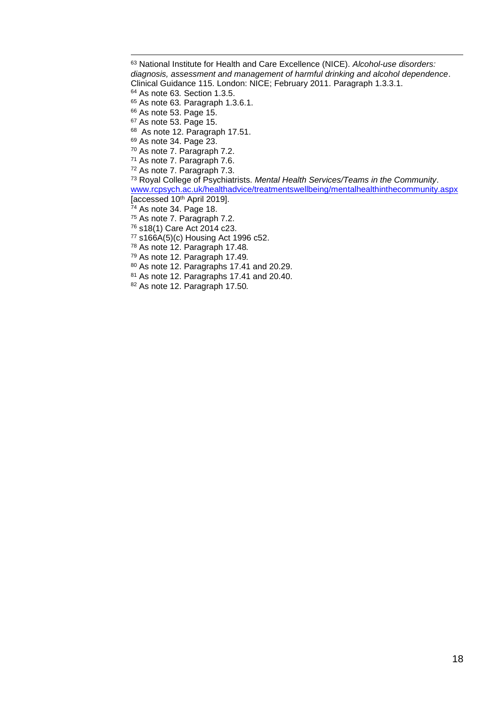$\overline{a}$  National Institute for Health and Care Excellence (NICE). *Alcohol-use disorders: diagnosis, assessment and management of harmful drinking and alcohol dependence*. Clinical Guidance 115. London: NICE; February 2011. Paragraph 1.3.3.1. As note 63*.* Section 1.3.5. As note 63*.* Paragraph 1.3.6.1. As note 53. Page 15. As note 53. Page 15. <sup>68</sup> As note 12. Paragraph 17.51. As note 34. Page 23. As note 7. Paragraph 7.2. As note 7. Paragraph 7.6. As note 7. Paragraph 7.3. Royal College of Psychiatrists. *Mental Health Services/Teams in the Community*. [www.rcpsych.ac.uk/healthadvice/treatmentswellbeing/mentalhealthinthecommunity.aspx](http://www.rcpsych.ac.uk/healthadvice/treatmentswellbeing/mentalhealthinthecommunity.aspx) [accessed 10th April 2019]. As note 34. Page 18. As note 7. Paragraph 7.2. s18(1) Care Act 2014 c23. s166A(5)(c) Housing Act 1996 c52.

As note 12. Paragraph 17.48*.*

As note 12. Paragraph 17.49*.*

As note 12. Paragraphs 17.41 and 20.29.

81 As note 12. Paragraphs 17.41 and 20.40.

As note 12. Paragraph 17.50*.*